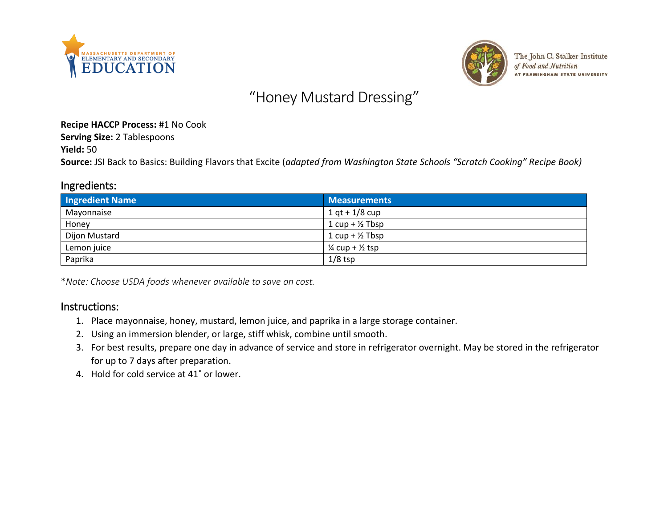



The John C. Stalker Institute of Food and Nutrition **AT FRAMINGHAM STATE UNIVERSITY** 

## "Honey Mustard Dressing"

**Recipe HACCP Process:** #1 No Cook

**Serving Size:** 2 Tablespoons

**Yield:** 50

**Source:** JSI Back to Basics: Building Flavors that Excite (*adapted from Washington State Schools "Scratch Cooking" Recipe Book)*

## Ingredients:

| <b>Ingredient Name</b> | <b>Measurements</b>                   |
|------------------------|---------------------------------------|
| Mayonnaise             | $1 qt + 1/8 cup$                      |
| Honey                  | $1 cup + \frac{1}{2} Tbsp$            |
| Dijon Mustard          | $1 cup + \frac{1}{2} Tbsp$            |
| Lemon juice            | $\frac{1}{4}$ cup + $\frac{1}{2}$ tsp |
| Paprika                | $1/8$ tsp                             |

\**Note: Choose USDA foods whenever available to save on cost.*

## Instructions:

- 1. Place mayonnaise, honey, mustard, lemon juice, and paprika in a large storage container.
- 2. Using an immersion blender, or large, stiff whisk, combine until smooth.
- 3. For best results, prepare one day in advance of service and store in refrigerator overnight. May be stored in the refrigerator for up to 7 days after preparation.
- 4. Hold for cold service at 41˚ or lower.